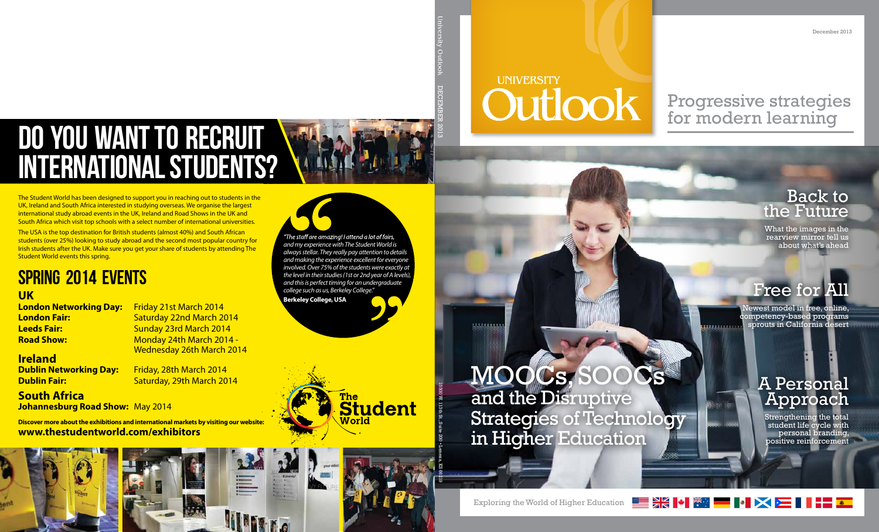December 2013

# **UNIVERSITY** Outlook

## Progressive strategies for modern learning

## **Back to** the Future

What the images in the rearview mirror tell us about what's ahead

# Free for All

Newest model in free, online, competency-based programs sprouts in California desert

3월 12월

## MOOCs, SOC and the Disruptive Strategies of Technology in Higher Education

## A Personal Approach

Strengthening the total student life cycle with personal branding, positive reinforcement

╳▅▌▊▜▓

Exploring the World of Higher Education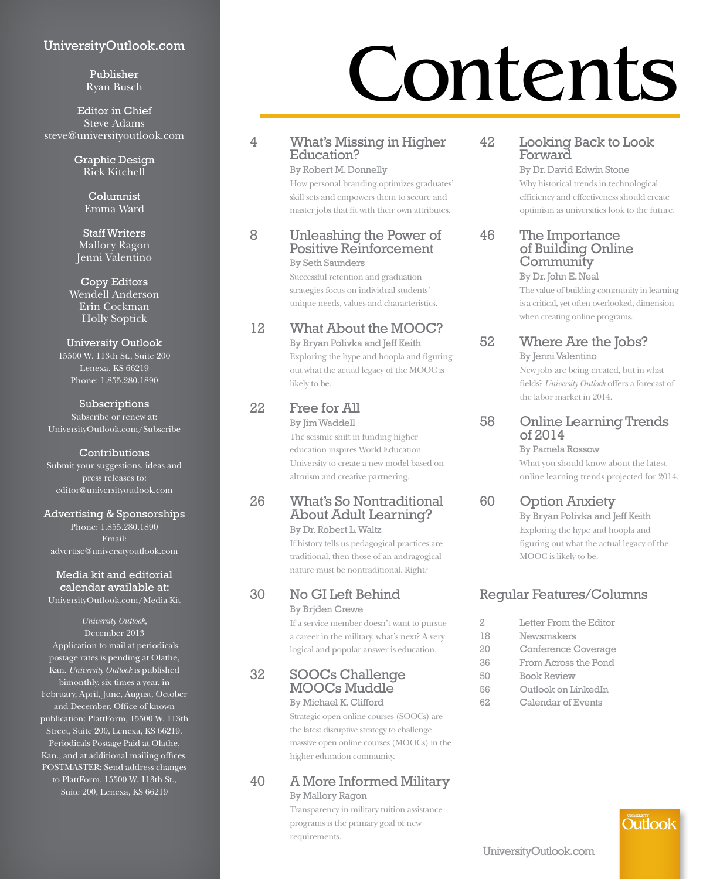#### UniversityOutlook.com

Publisher Ryan Busch

Editor in Chief Steve Adams steve@universityoutlook.com

> Graphic Design Rick Kitchell

> > Columnist Emma Ward

Staff Writers Mallory Ragon Jenni Valentino

Copy Editors Wendell Anderson Erin Cockman Holly Soptick

#### University Outlook

15500 W. 113th St., Suite 200 Lenexa, KS 66219 Phone: 1.855.280.1890

Subscriptions Subscribe or renew at: UniversityOutlook.com/Subscribe

#### **Contributions**

Submit your suggestions, ideas and press releases to: editor@universityoutlook.com

Advertising & Sponsorships

Phone: 1.855.280.1890 Email: advertise@universityoutlook.com

Media kit and editorial calendar available at: UniversityOutlook.com/Media-Kit

#### *University Outlook*,

December 2013 Application to mail at periodicals postage rates is pending at Olathe, Kan. *University Outlook* is published bimonthly, six times a year, in February, April, June, August, October and December. Office of known publication: PlattForm, 15500 W. 113th Street, Suite 200, Lenexa, KS 66219. Periodicals Postage Paid at Olathe, Kan., and at additional mailing offices. POSTMASTER: Send address changes to PlattForm, 15500 W. 113th St., Suite 200, Lenexa, KS 66219

# Contents

#### 4 What's Missing in Higher Education?

By Robert M. Donnelly How personal branding optimizes graduates' skill sets and empowers them to secure and master jobs that fit with their own attributes.

#### 8 Unleashing the Power of Positive Reinforcement

By Seth Saunders

 Successful retention and graduation strategies focus on individual students' unique needs, values and characteristics.

#### 12 What About the MOOC?

By Bryan Polivka and Jeff Keith Exploring the hype and hoopla and figuring out what the actual legacy of the MOOC is likely to be.

#### 22 Free for All

By Jim Waddell The seismic shift in funding higher education inspires World Education University to create a new model based on altruism and creative partnering.

#### 26 What's So Nontraditional About Adult Learning? By Dr. Robert L. Waltz

If history tells us pedagogical practices are traditional, then those of an andragogical nature must be nontraditional. Right?

#### 30 No GI Left Behind By Brjden Crewe

 If a service member doesn't want to pursue a career in the military, what's next? A very logical and popular answer is education.

#### 32 SOOCs Challenge MOOCs Muddle

#### By Michael K. Clifford

Strategic open online courses (SOOCs) are the latest disruptive strategy to challenge massive open online courses (MOOCs) in the higher education community.

#### 40 A More Informed Military

By Mallory Ragon Transparency in military tuition assistance programs is the primary goal of new requirements.

#### 42 Looking Back to Look Forward

By Dr. David Edwin Stone Why historical trends in technological efficiency and effectiveness should create optimism as universities look to the future.

#### 46 The Importance of Building Online **Community**

By Dr. John E. Neal The value of building community in learning is a critical, yet often overlooked, dimension when creating online programs.

#### 52 Where Are the Jobs?

By Jenni Valentino New jobs are being created, but in what fields? *University Outlook* offers a forecast of the labor market in 2014.

58 Online Learning Trends of 2014

By Pamela Rossow

What you should know about the latest online learning trends projected for 2014.

#### 60 Option Anxiety

By Bryan Polivka and Jeff Keith Exploring the hype and hoopla and figuring out what the actual legacy of the MOOC is likely to be.

#### Regular Features/Columns

- 2 Letter From the Editor
- 18 Newsmakers
- 20 Conference Coverage
- 36 From Across the Pond
- 50 Book Review
- 56 Outlook on LinkedIn
- 62 Calendar of Events

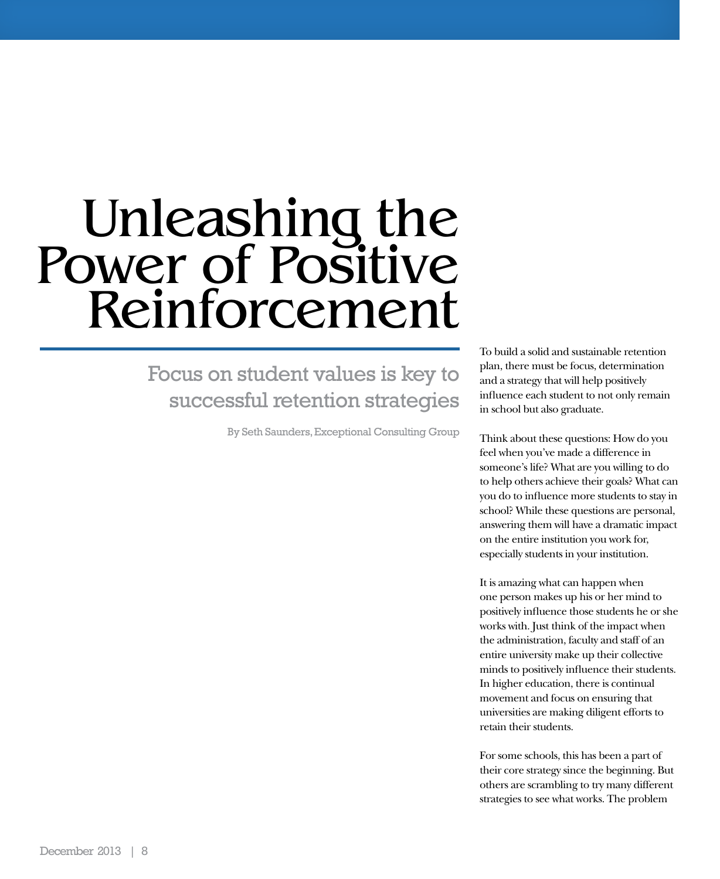# Unleashing the Power of Positive Reinforcement

### Focus on student values is key to successful retention strategies

By Seth Saunders, Exceptional Consulting Group

To build a solid and sustainable retention plan, there must be focus, determination and a strategy that will help positively influence each student to not only remain in school but also graduate.

Think about these questions: How do you feel when you've made a difference in someone's life? What are you willing to do to help others achieve their goals? What can you do to influence more students to stay in school? While these questions are personal, answering them will have a dramatic impact on the entire institution you work for, especially students in your institution.

It is amazing what can happen when one person makes up his or her mind to positively influence those students he or she works with. Just think of the impact when the administration, faculty and staff of an entire university make up their collective minds to positively influence their students. In higher education, there is continual movement and focus on ensuring that universities are making diligent efforts to retain their students.

For some schools, this has been a part of their core strategy since the beginning. But others are scrambling to try many different strategies to see what works. The problem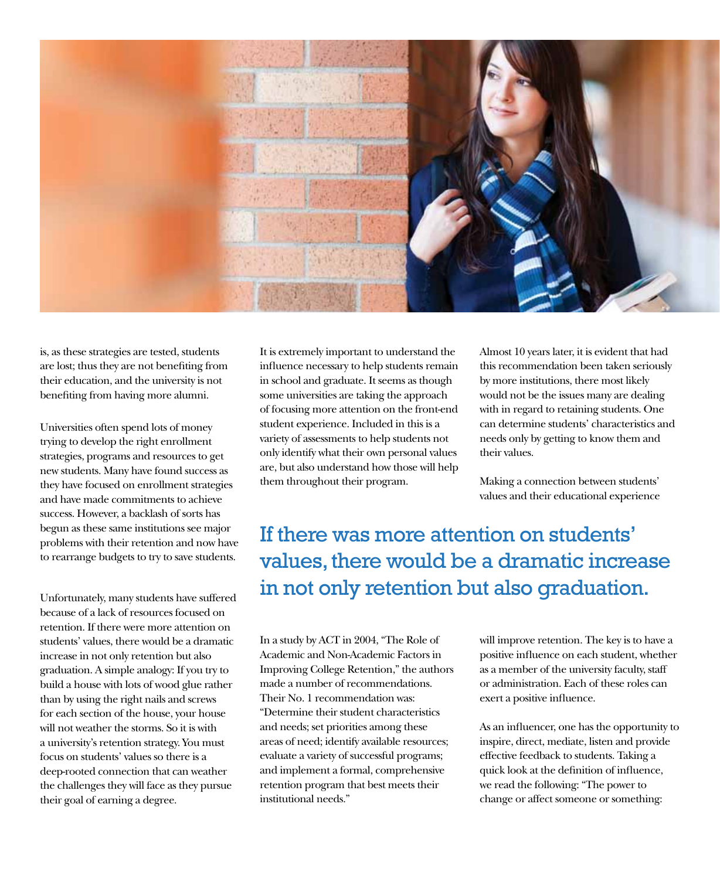

is, as these strategies are tested, students are lost; thus they are not benefiting from their education, and the university is not benefiting from having more alumni.

Universities often spend lots of money trying to develop the right enrollment strategies, programs and resources to get new students. Many have found success as they have focused on enrollment strategies and have made commitments to achieve success. However, a backlash of sorts has begun as these same institutions see major problems with their retention and now have to rearrange budgets to try to save students.

Unfortunately, many students have suffered because of a lack of resources focused on retention. If there were more attention on students' values, there would be a dramatic increase in not only retention but also graduation. A simple analogy: If you try to build a house with lots of wood glue rather than by using the right nails and screws for each section of the house, your house will not weather the storms. So it is with a university's retention strategy. You must focus on students' values so there is a deep-rooted connection that can weather the challenges they will face as they pursue their goal of earning a degree.

It is extremely important to understand the influence necessary to help students remain in school and graduate. It seems as though some universities are taking the approach of focusing more attention on the front-end student experience. Included in this is a variety of assessments to help students not only identify what their own personal values are, but also understand how those will help them throughout their program.

Almost 10 years later, it is evident that had this recommendation been taken seriously by more institutions, there most likely would not be the issues many are dealing with in regard to retaining students. One can determine students' characteristics and needs only by getting to know them and their values.

Making a connection between students' values and their educational experience

If there was more attention on students' values, there would be a dramatic increase in not only retention but also graduation.

In a study by ACT in 2004, "The Role of Academic and Non-Academic Factors in Improving College Retention," the authors made a number of recommendations. Their No. 1 recommendation was: "Determine their student characteristics and needs; set priorities among these areas of need; identify available resources; evaluate a variety of successful programs; and implement a formal, comprehensive retention program that best meets their institutional needs."

will improve retention. The key is to have a positive influence on each student, whether as a member of the university faculty, staff or administration. Each of these roles can exert a positive influence.

As an influencer, one has the opportunity to inspire, direct, mediate, listen and provide effective feedback to students. Taking a quick look at the definition of influence, we read the following: "The power to change or affect someone or something: